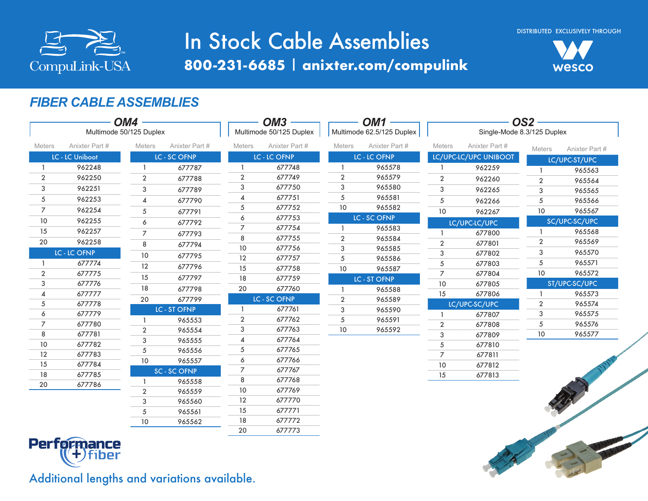

# In Stock Cable Assemblies **800-231-6685** | **anixter.com/compulink**



### *FIBER CABLE ASSEMBLIES*

|                |                         | OM4            |                     | $OM3 -$        |                         | OM <sub>1</sub> |                           | OS <sub>2</sub> |                              |                |                |  |
|----------------|-------------------------|----------------|---------------------|----------------|-------------------------|-----------------|---------------------------|-----------------|------------------------------|----------------|----------------|--|
|                | Multimode 50/125 Duplex |                |                     |                | Multimode 50/125 Duplex |                 | Multimode 62.5/125 Duplex |                 | Single-Mode 8.3/125 Duplex   |                |                |  |
| <b>Meters</b>  | Anixter Part #          | Meters         | Anixter Part #      | <b>Meters</b>  | Anixter Part #          | <b>Meters</b>   | Anixter Part #            | Meters          | Anixter Part #               | <b>Meters</b>  | Anixter Part # |  |
|                | <b>LC - LC Uniboot</b>  |                | <b>LC - SC OFNP</b> |                | LC - LC OFNP            |                 | <b>LC - LC OFNP</b>       |                 | <b>LC/UPC-LC/UPC UNIBOOT</b> |                | LC/UPC-ST/UPC  |  |
| $\mathbf{1}$   | 962248                  |                | 677787              |                | 677748                  |                 | 965578                    |                 | 962259                       |                | 965563         |  |
| $\overline{2}$ | 962250                  | $\overline{2}$ | 677788              | $\overline{2}$ | 677749                  | 2               | 965579                    | $\overline{2}$  | 962260                       | $\overline{2}$ | 965564         |  |
| 3              | 962251                  | 3              | 677789              | 3              | 677750                  | 3               | 965580                    | 3               | 962265                       | 3              | 965565         |  |
| 5              | 962253                  | 4              | 677790              | 4              | 677751                  | 5               | 965581                    | $\sqrt{5}$      | 962266                       | 5              | 965566         |  |
| $\overline{7}$ | 962254                  | 5              | 677791              | 5              | 677752                  | 10              | 965582                    | 10 <sup>°</sup> | 962267                       | 10             | 965567         |  |
| 10             | 962255                  | 6              | 677792              | 6              | 677753                  |                 | <b>LC - SC OFNP</b>       |                 | LC/UPC-LC/UPC                |                | SC/UPC-SC/UPC  |  |
| 15             | 962257                  | $\overline{7}$ | 677793              | $\overline{7}$ | 677754                  |                 | 965583                    |                 | 677800                       |                | 965568         |  |
| 20             | 962258                  | 8              | 677794              | 8              | 677755                  | $\overline{2}$  | 965584                    | $\overline{2}$  | 677801                       | $\overline{2}$ | 965569         |  |
|                | <b>LC - LC OFNP</b>     | $10$           | 677795              | 10             | 677756                  | 3               | 965585                    | 3               | 677802                       | 3              | 965570         |  |
| 1              | 677774                  | 12             |                     | 12             | 677757                  | 5               | 965586                    | $\sqrt{5}$      | 677803                       | 5              | 965571         |  |
| $\overline{2}$ | 677775                  | 15             | 677796              | 15             | 677758                  | 10              | 965587                    | 7               | 677804                       | 10             | 965572         |  |
| 3              | 677776                  |                | 677797              | 18             | 677759                  |                 | <b>LC - ST OFNP</b>       | $10$            | 677805                       |                | ST/UPC-SC/UPC  |  |
| 4              | 677777                  | 18             | 677798              | 20             | 677760                  |                 | 965588                    | 15              | 677806                       |                | 965573         |  |
| 5              | 677778                  | 20             | 677799              |                | LC - SC OFNP            | $\overline{2}$  | 965589                    |                 | LC/UPC-SC/UPC                | $\overline{2}$ | 965574         |  |
| 6              | 677779                  |                | <b>LC - ST OFNP</b> |                | 677761                  | 3               | 965590                    |                 | 677807                       | 3              | 965575         |  |
| 7              | 677780                  |                | 965553              | $\overline{2}$ | 677762                  | 5               | 965591                    | $\overline{2}$  | 677808                       | 5              | 965576         |  |
| 8              | 677781                  | $\overline{2}$ | 965554              | 3              | 677763                  | 10              | 965592                    | $\sqrt{3}$      | 677809                       | 10             | 965577         |  |
| 10             | 677782                  | 3              | 965555              | 4              | 677764                  |                 |                           | 5               | 677810                       |                |                |  |
| 12             | 677783                  | 5              | 965556              | 5<br>6         | 677765<br>677766        |                 |                           | $\overline{7}$  | 677811                       |                |                |  |
| 15             | 677784                  | 10             | 965557              | $\overline{7}$ | 677767                  |                 |                           | 10              | 677812                       |                |                |  |
| 18             | 677785                  |                | SC - SC OFNP        | 8              | 677768                  |                 |                           | 15              | 677813                       |                |                |  |
| 20             | 677786                  |                | 965558              | 10             | 677769                  |                 |                           |                 |                              |                | R. R. R.       |  |
|                |                         | $\overline{2}$ | 965559              | 12             | 677770                  |                 |                           |                 |                              |                |                |  |
|                |                         | 3              | 965560              | 15             | 677771                  |                 |                           |                 |                              |                |                |  |
|                |                         | 5<br>10        | 965561<br>965562    | 18             | 677772                  |                 |                           |                 |                              |                |                |  |
|                |                         |                |                     | 20             | 677773                  |                 |                           |                 |                              |                |                |  |
|                | <b>Performance</b>      |                |                     |                |                         |                 |                           |                 |                              |                |                |  |

Additional lengths and variations available.